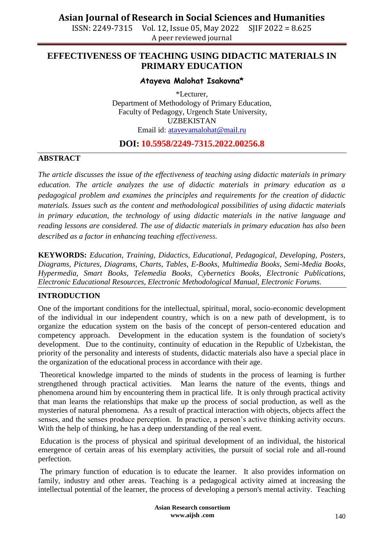ISSN: 2249-7315 Vol. 12, Issue 05, May 2022 SJIF 2022 = 8.625 A peer reviewed journal

## **EFFECTIVENESS OF TEACHING USING DIDACTIC MATERIALS IN PRIMARY EDUCATION**

### **Atayeva Malohat Isakovna\***

\*Lecturer, Department of Methodology of Primary Education, Faculty of Pedagogy, Urgench State University, UZBEKISTAN Email id: [atayevamalohat@mail.ru](mailto:atayevamalohat@mail.ru)

### **DOI: 10.5958/2249-7315.2022.00256.8**

#### **ABSTRACT**

*The article discusses the issue of the effectiveness of teaching using didactic materials in primary education. The article analyzes the use of didactic materials in primary education as a pedagogical problem and examines the principles and requirements for the creation of didactic materials. Issues such as the content and methodological possibilities of using didactic materials in primary education, the technology of using didactic materials in the native language and reading lessons are considered. The use of didactic materials in primary education has also been described as a factor in enhancing teaching effectiveness.*

**KEYWORDS:** *Education, Training, Didactics, Educational, Pedagogical, Developing, Posters, Diagrams, Pictures, Diagrams, Charts, Tables, E-Books, Multimedia Books, Semi-Media Books, Hypermedia, Smart Books, Telemedia Books, Cybernetics Books, Electronic Publications, Electronic Educational Resources, Electronic Methodological Manual, Electronic Forums.*

### **INTRODUCTION**

One of the important conditions for the intellectual, spiritual, moral, socio-economic development of the individual in our independent country, which is on a new path of development, is to organize the education system on the basis of the concept of person-centered education and competency approach. Development in the education system is the foundation of society's development. Due to the continuity, continuity of education in the Republic of Uzbekistan, the priority of the personality and interests of students, didactic materials also have a special place in the organization of the educational process in accordance with their age.

Theoretical knowledge imparted to the minds of students in the process of learning is further strengthened through practical activities. Man learns the nature of the events, things and phenomena around him by encountering them in practical life. It is only through practical activity that man learns the relationships that make up the process of social production, as well as the mysteries of natural phenomena. As a result of practical interaction with objects, objects affect the senses, and the senses produce perception. In practice, a person's active thinking activity occurs. With the help of thinking, he has a deep understanding of the real event.

Education is the process of physical and spiritual development of an individual, the historical emergence of certain areas of his exemplary activities, the pursuit of social role and all-round perfection.

The primary function of education is to educate the learner. It also provides information on family, industry and other areas. Teaching is a pedagogical activity aimed at increasing the intellectual potential of the learner, the process of developing a person's mental activity. Teaching

> **Asian Research consortium www.aijsh .com**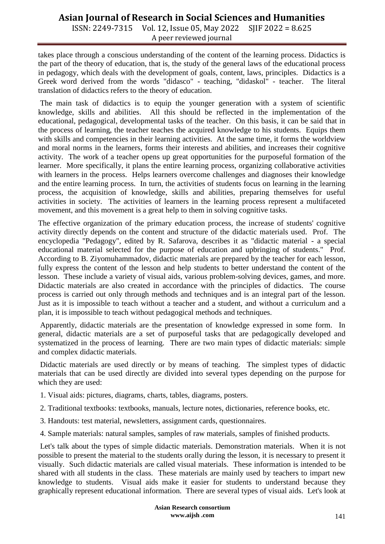ISSN: 2249-7315 Vol. 12, Issue 05, May 2022 SJIF 2022 = 8.625 A peer reviewed journal

takes place through a conscious understanding of the content of the learning process. Didactics is the part of the theory of education, that is, the study of the general laws of the educational process in pedagogy, which deals with the development of goals, content, laws, principles. Didactics is a Greek word derived from the words "didasco" - teaching, "didaskol" - teacher. The literal translation of didactics refers to the theory of education.

The main task of didactics is to equip the younger generation with a system of scientific knowledge, skills and abilities. All this should be reflected in the implementation of the educational, pedagogical, developmental tasks of the teacher. On this basis, it can be said that in the process of learning, the teacher teaches the acquired knowledge to his students. Equips them with skills and competencies in their learning activities. At the same time, it forms the worldview and moral norms in the learners, forms their interests and abilities, and increases their cognitive activity. The work of a teacher opens up great opportunities for the purposeful formation of the learner. More specifically, it plans the entire learning process, organizing collaborative activities with learners in the process. Helps learners overcome challenges and diagnoses their knowledge and the entire learning process. In turn, the activities of students focus on learning in the learning process, the acquisition of knowledge, skills and abilities, preparing themselves for useful activities in society. The activities of learners in the learning process represent a multifaceted movement, and this movement is a great help to them in solving cognitive tasks.

The effective organization of the primary education process, the increase of students' cognitive activity directly depends on the content and structure of the didactic materials used. Prof. The encyclopedia "Pedagogy", edited by R. Safarova, describes it as "didactic material - a special educational material selected for the purpose of education and upbringing of students." Prof. According to B. Ziyomuhammadov, didactic materials are prepared by the teacher for each lesson, fully express the content of the lesson and help students to better understand the content of the lesson. These include a variety of visual aids, various problem-solving devices, games, and more. Didactic materials are also created in accordance with the principles of didactics. The course process is carried out only through methods and techniques and is an integral part of the lesson. Just as it is impossible to teach without a teacher and a student, and without a curriculum and a plan, it is impossible to teach without pedagogical methods and techniques.

Apparently, didactic materials are the presentation of knowledge expressed in some form. In general, didactic materials are a set of purposeful tasks that are pedagogically developed and systematized in the process of learning. There are two main types of didactic materials: simple and complex didactic materials.

Didactic materials are used directly or by means of teaching. The simplest types of didactic materials that can be used directly are divided into several types depending on the purpose for which they are used:

- 1. Visual aids: pictures, diagrams, charts, tables, diagrams, posters.
- 2. Traditional textbooks: textbooks, manuals, lecture notes, dictionaries, reference books, etc.
- 3. Handouts: test material, newsletters, assignment cards, questionnaires.
- 4. Sample materials: natural samples, samples of raw materials, samples of finished products.

Let's talk about the types of simple didactic materials. Demonstration materials. When it is not possible to present the material to the students orally during the lesson, it is necessary to present it visually. Such didactic materials are called visual materials. These information is intended to be shared with all students in the class. These materials are mainly used by teachers to impart new knowledge to students. Visual aids make it easier for students to understand because they graphically represent educational information. There are several types of visual aids. Let's look at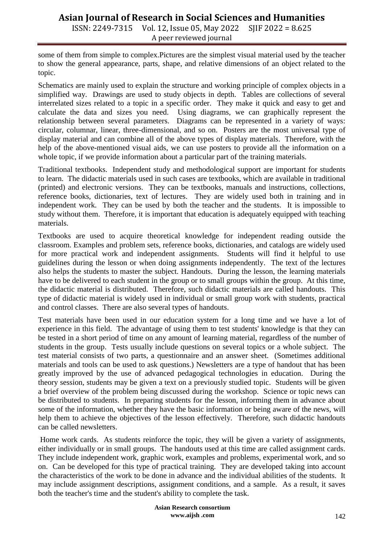ISSN: 2249-7315 Vol. 12, Issue 05, May 2022 SJIF 2022 = 8.625 A peer reviewed journal

some of them from simple to complex.Pictures are the simplest visual material used by the teacher to show the general appearance, parts, shape, and relative dimensions of an object related to the topic.

Schematics are mainly used to explain the structure and working principle of complex objects in a simplified way. Drawings are used to study objects in depth. Tables are collections of several interrelated sizes related to a topic in a specific order. They make it quick and easy to get and calculate the data and sizes you need. Using diagrams, we can graphically represent the relationship between several parameters. Diagrams can be represented in a variety of ways: circular, columnar, linear, three-dimensional, and so on. Posters are the most universal type of display material and can combine all of the above types of display materials. Therefore, with the help of the above-mentioned visual aids, we can use posters to provide all the information on a whole topic, if we provide information about a particular part of the training materials.

Traditional textbooks. Independent study and methodological support are important for students to learn. The didactic materials used in such cases are textbooks, which are available in traditional (printed) and electronic versions. They can be textbooks, manuals and instructions, collections, reference books, dictionaries, text of lectures. They are widely used both in training and in independent work. They can be used by both the teacher and the students. It is impossible to study without them. Therefore, it is important that education is adequately equipped with teaching materials.

Textbooks are used to acquire theoretical knowledge for independent reading outside the classroom. Examples and problem sets, reference books, dictionaries, and catalogs are widely used for more practical work and independent assignments. Students will find it helpful to use guidelines during the lesson or when doing assignments independently. The text of the lectures also helps the students to master the subject. Handouts. During the lesson, the learning materials have to be delivered to each student in the group or to small groups within the group. At this time, the didactic material is distributed. Therefore, such didactic materials are called handouts. This type of didactic material is widely used in individual or small group work with students, practical and control classes. There are also several types of handouts.

Test materials have been used in our education system for a long time and we have a lot of experience in this field. The advantage of using them to test students' knowledge is that they can be tested in a short period of time on any amount of learning material, regardless of the number of students in the group. Tests usually include questions on several topics or a whole subject. The test material consists of two parts, a questionnaire and an answer sheet. (Sometimes additional materials and tools can be used to ask questions.) Newsletters are a type of handout that has been greatly improved by the use of advanced pedagogical technologies in education. During the theory session, students may be given a text on a previously studied topic. Students will be given a brief overview of the problem being discussed during the workshop. Science or topic news can be distributed to students. In preparing students for the lesson, informing them in advance about some of the information, whether they have the basic information or being aware of the news, will help them to achieve the objectives of the lesson effectively. Therefore, such didactic handouts can be called newsletters.

Home work cards. As students reinforce the topic, they will be given a variety of assignments, either individually or in small groups. The handouts used at this time are called assignment cards. They include independent work, graphic work, examples and problems, experimental work, and so on. Can be developed for this type of practical training. They are developed taking into account the characteristics of the work to be done in advance and the individual abilities of the students. It may include assignment descriptions, assignment conditions, and a sample. As a result, it saves both the teacher's time and the student's ability to complete the task.

> **Asian Research consortium www.aijsh .com**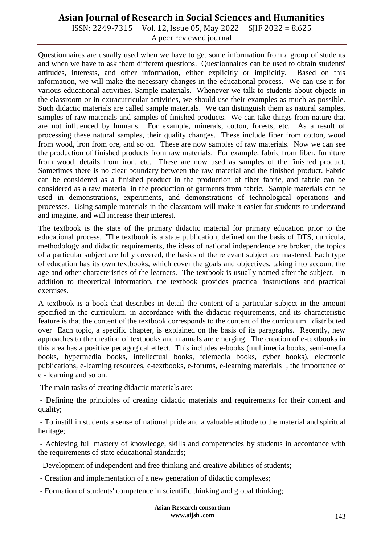ISSN: 2249-7315 Vol. 12, Issue 05, May 2022 SJIF 2022 = 8.625 A peer reviewed journal

Questionnaires are usually used when we have to get some information from a group of students and when we have to ask them different questions. Questionnaires can be used to obtain students' attitudes, interests, and other information, either explicitly or implicitly. Based on this information, we will make the necessary changes in the educational process. We can use it for various educational activities. Sample materials. Whenever we talk to students about objects in the classroom or in extracurricular activities, we should use their examples as much as possible. Such didactic materials are called sample materials. We can distinguish them as natural samples, samples of raw materials and samples of finished products. We can take things from nature that are not influenced by humans. For example, minerals, cotton, forests, etc. As a result of processing these natural samples, their quality changes. These include fiber from cotton, wood from wood, iron from ore, and so on. These are now samples of raw materials. Now we can see the production of finished products from raw materials. For example: fabric from fiber, furniture from wood, details from iron, etc. These are now used as samples of the finished product. Sometimes there is no clear boundary between the raw material and the finished product. Fabric can be considered as a finished product in the production of fiber fabric, and fabric can be considered as a raw material in the production of garments from fabric. Sample materials can be used in demonstrations, experiments, and demonstrations of technological operations and processes. Using sample materials in the classroom will make it easier for students to understand and imagine, and will increase their interest.

The textbook is the state of the primary didactic material for primary education prior to the educational process. "The textbook is a state publication, defined on the basis of DTS, curricula, methodology and didactic requirements, the ideas of national independence are broken, the topics of a particular subject are fully covered, the basics of the relevant subject are mastered. Each type of education has its own textbooks, which cover the goals and objectives, taking into account the age and other characteristics of the learners. The textbook is usually named after the subject. In addition to theoretical information, the textbook provides practical instructions and practical exercises.

A textbook is a book that describes in detail the content of a particular subject in the amount specified in the curriculum, in accordance with the didactic requirements, and its characteristic feature is that the content of the textbook corresponds to the content of the curriculum. distributed over Each topic, a specific chapter, is explained on the basis of its paragraphs. Recently, new approaches to the creation of textbooks and manuals are emerging. The creation of e-textbooks in this area has a positive pedagogical effect. This includes e-books (multimedia books, semi-media books, hypermedia books, intellectual books, telemedia books, cyber books), electronic publications, e-learning resources, e-textbooks, e-forums, e-learning materials , the importance of e - learning and so on.

The main tasks of creating didactic materials are:

- Defining the principles of creating didactic materials and requirements for their content and quality;

- To instill in students a sense of national pride and a valuable attitude to the material and spiritual heritage;

- Achieving full mastery of knowledge, skills and competencies by students in accordance with the requirements of state educational standards;

- Development of independent and free thinking and creative abilities of students;

- Creation and implementation of a new generation of didactic complexes;
- Formation of students' competence in scientific thinking and global thinking;